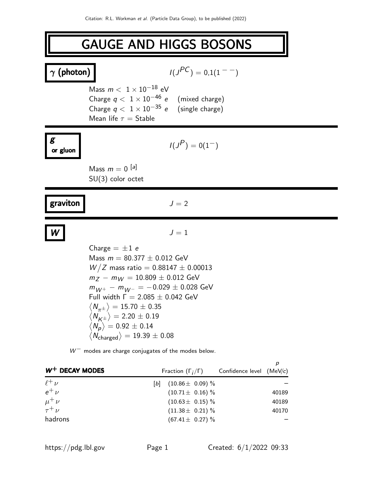# GAUGE AND HIGGS BOSONS

| $\gamma$ (photon)                          |                                                                                                                                                                                                                                                                                                                                                                                                                                       | $I(J^{PC}) = 0.1(1^{--})$                                            |                  |
|--------------------------------------------|---------------------------------------------------------------------------------------------------------------------------------------------------------------------------------------------------------------------------------------------------------------------------------------------------------------------------------------------------------------------------------------------------------------------------------------|----------------------------------------------------------------------|------------------|
|                                            | Mass $m < 1 \times 10^{-18}$ eV<br>Charge $q < 1 \times 10^{-46}$ e (mixed charge)<br>Charge $q < 1 \times 10^{-35}$ e (single charge)<br>Mean life $\tau =$ Stable                                                                                                                                                                                                                                                                   |                                                                      |                  |
| g<br>or gluon                              |                                                                                                                                                                                                                                                                                                                                                                                                                                       | $I(J^{P}) = 0(1^{-})$                                                |                  |
|                                            | Mass $m = 0$ [a]<br>$SU(3)$ color octet                                                                                                                                                                                                                                                                                                                                                                                               |                                                                      |                  |
| graviton                                   |                                                                                                                                                                                                                                                                                                                                                                                                                                       | $J=2$                                                                |                  |
|                                            |                                                                                                                                                                                                                                                                                                                                                                                                                                       | $J=1$                                                                |                  |
|                                            | Charge $= \pm 1$ e<br>Mass $m = 80.377 \pm 0.012$ GeV<br>$W/Z$ mass ratio = 0.88147 $\pm$ 0.00013<br>$m_Z - m_W = 10.809 \pm 0.012$ GeV<br>$m_{W^+} - m_{W^-} = -0.029 \pm 0.028$ GeV<br>Full width $\Gamma = 2.085 \pm 0.042$ GeV<br>$\langle N^{}_{\tau\tau} \rangle = 15.70 \pm 0.35$<br>$\langle N_{\rm K\pm}\rangle = 2.20\pm0.19$<br>$\langle N_p \rangle = 0.92 \pm 0.14$<br>$\left< N_{\rm charged} \right> = 19.39 \pm 0.08$ |                                                                      |                  |
|                                            | $W^-$ modes are charge conjugates of the modes below.                                                                                                                                                                                                                                                                                                                                                                                 |                                                                      | $\boldsymbol{p}$ |
| $W^+$ DECAY MODES                          |                                                                                                                                                                                                                                                                                                                                                                                                                                       | Fraction $(\Gamma_i/\Gamma)$<br>Confidence level                     | (MeV/c)          |
| $\ell^+ \nu$<br>$e^+$ $\nu$<br>$\mu^+ \nu$ | $[b]$                                                                                                                                                                                                                                                                                                                                                                                                                                 | $(10.86 \pm 0.09)$ %<br>$(10.71 \pm 0.16)$ %<br>$(10.63 \pm 0.15)\%$ | 40189<br>40189   |
| $\tau^+ \nu$<br>hadrons                    |                                                                                                                                                                                                                                                                                                                                                                                                                                       | $(11.38 \pm 0.21)$ %<br>$(67.41 \pm 0.27)\%$                         | 40170            |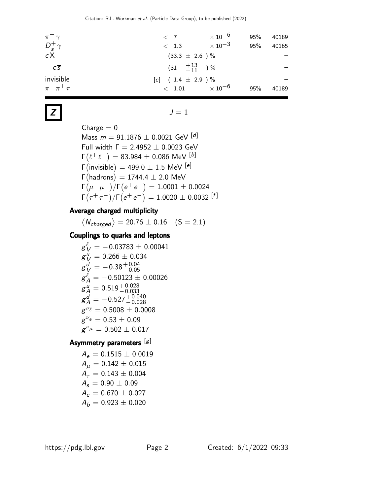| $\pi^+\gamma$           | $\langle 7$                                           | $\times$ 10 $^{-6}$ | 95% | 40189 |
|-------------------------|-------------------------------------------------------|---------------------|-----|-------|
| $D_s^+\gamma$           | $\langle$ 1.3                                         | $\times$ 10 $^{-3}$ | 95% | 40165 |
| cX                      | $(33.3 \pm 2.6) \%$                                   |                     |     |       |
| $C\overline{S}$         | $\begin{pmatrix} 31 & +13 \\ -11 & 0 \end{pmatrix}$ % |                     |     |       |
| invisible               | $[c]$ (1.4 $\pm$ 2.9 ) %                              |                     |     |       |
| $\pi^{+}\pi^{+}\pi^{-}$ | < 1.01                                                | $\times$ 10 $^{-6}$ | 95% | 40189 |

# $J = 1$

 $Change = 0$ Mass  $m = 91.1876 \pm 0.0021$  GeV  $[d]$ Full width  $\Gamma = 2.4952 \pm 0.0023$  GeV  $\Gamma\!\left(\ell^+\ell^-\right) = 83.984 \pm 0.086$  MeV  $^{[b]}$ Γ $\left($ invisible $\right)=499.0\pm1.5$  MeV  $^{\left[{\it e}\right]}$  $\Gamma\big(\text{hadrons}\big) = 1744.4 \pm 2.0 \,\, \text{MeV}$  $\Gamma(\mu^+ \mu^-)/\Gamma(e^+ e^-) = 1.0001 \pm 0.0024$  $\Gamma(\tau^+\tau^-)/\Gamma\bigl( e^+ \,e^-\bigr) = 1.0020 \pm 0.0032 \; [f]$ 

# Average charged multiplicity

 $\langle N_{charged}\rangle = 20.76 \pm 0.16 \quad (S = 2.1)$ 

# Couplings to quarks and leptons

$$
\begin{array}{l} g^{\ell}_{\;V} = -0.03783 \pm 0.00041 \\ g^{\;\mu}_{\;V} = 0.266 \pm 0.034 \\ g^{\;\mu}_{\;V} = -0.38 \, {}^{+\, 0.04}_{-\, 0.05} \\ g^{\ell}_{\;A} = -0.50123 \pm 0.00026 \\ g^{\;\mu}_{\;A} = 0.519 \, {}^{+\, 0.028}_{-\, 0.033} \\ g^{\;\mu}_{\;A} = -0.527 \, {}^{+\, 0.040}_{-\, 0.028} \\ g^{\;\nu_{\ell}} = 0.5008 \pm 0.0008 \\ g^{\;\nu_{\;\mu}} = 0.53 \pm 0.09 \\ g^{\;\nu_{\mu}} = 0.502 \pm 0.017 \end{array}
$$

# Asymmetry parameters [g]

$$
A_e = 0.1515 \pm 0.0019
$$
  
\n
$$
A_{\mu} = 0.142 \pm 0.015
$$
  
\n
$$
A_{\tau} = 0.143 \pm 0.004
$$
  
\n
$$
A_s = 0.90 \pm 0.09
$$
  
\n
$$
A_c = 0.670 \pm 0.027
$$
  
\n
$$
A_b = 0.923 \pm 0.020
$$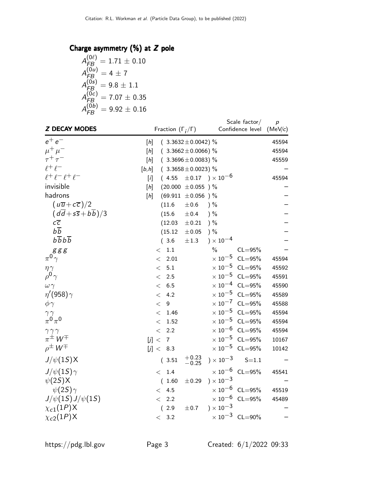# Charge asymmetry  $(% \mathcal{E} _{n})$  at  $Z$  pole

$$
A_{FB}^{(0\ell)} = 1.71 \pm 0.10
$$
  
\n
$$
A_{FB}^{(0u)} = 4 \pm 7
$$
  
\n
$$
A_{FB}^{(0s)} = 9.8 \pm 1.1
$$
  
\n
$$
A_{FB}^{(0c)} = 7.07 \pm 0.35
$$
  
\n
$$
A_{FB}^{(0b)} = 9.92 \pm 0.16
$$

| <b>Z DECAY MODES</b>                                                                 |                  | Fraction $(\Gamma_i/\Gamma)$ |                         |                               | Scale factor/<br>Confidence level | $\boldsymbol{p}$<br>(MeV/c) |
|--------------------------------------------------------------------------------------|------------------|------------------------------|-------------------------|-------------------------------|-----------------------------------|-----------------------------|
| $e^+e^-$                                                                             | $[h] \centering$ |                              | $(3.3632 \pm 0.0042)$ % |                               |                                   | 45594                       |
| $\mu^+ \mu^-$                                                                        | $[h] \centering$ |                              | $(3.3662 \pm 0.0066)$ % |                               |                                   | 45594                       |
| $\tau^+\tau^-$                                                                       | $[h] \centering$ |                              | $(3.3696 \pm 0.0083)$ % |                               |                                   | 45559                       |
| $\ell^+\ell^-$                                                                       | [b,h]            |                              | $(3.3658 \pm 0.0023)$ % |                               |                                   |                             |
| $\ell^+ \ell^- \ell^+ \ell^-$                                                        | $[$ ]            | (4.55)                       |                         | $\pm 0.17$ ) $\times 10^{-6}$ |                                   | 45594                       |
| invisible                                                                            | $[h] \centering$ |                              | $(20.000 \pm 0.055)$ %  |                               |                                   |                             |
| hadrons                                                                              | $[h] \centering$ |                              | $(69.911 \pm 0.056)$ %  |                               |                                   |                             |
| $(u\overline{u}+c\overline{c})/2$                                                    |                  | (11.6)                       | $\pm 0.6$               | $)$ %                         |                                   |                             |
| $\left(\frac{d\overline{d} + s\overline{s} + b\overline{b}}{d\overline{b}}\right)/3$ |                  | (15.6)                       | ±0.4                    | ) %                           |                                   |                             |
| $c\overline{c}$                                                                      |                  | (12.03)                      | $\pm 0.21$              | ) %                           |                                   |                             |
| $b\overline{b}$                                                                      |                  | (15.12)                      | $\pm 0.05$              | $)$ %                         |                                   |                             |
| $b\overline{b}b\overline{b}$                                                         |                  | (3.6)                        | $\pm 1.3$               | ) $\times 10^{-4}$            |                                   |                             |
| g g g                                                                                |                  | $1.1\,$<br>$\lt$             |                         | $\%$                          | $CL = 95%$                        |                             |
| $\pi^{0}\gamma$                                                                      |                  | 2.01<br>$\lt$                |                         |                               | $\times$ 10 <sup>-5</sup> CL=95%  | 45594                       |
| $\eta \gamma$                                                                        |                  | 5.1<br>$\lt$                 |                         |                               | $\times$ 10 <sup>-5</sup> CL=95%  | 45592                       |
| $\rho^0 \gamma$                                                                      |                  | $\lt$<br>2.5                 |                         |                               | $\times$ 10 <sup>-5</sup> CL=95%  | 45591                       |
| $\omega \gamma$                                                                      |                  | 6.5<br>$\,<$                 |                         | $\times$ 10 $^{-4}$           | $CL = 95%$                        | 45590                       |
| $\eta'(958)\gamma$                                                                   |                  | 4.2<br>$\lt$                 |                         | $\times$ 10 $^{-5}$           | $CL = 95%$                        | 45589                       |
| $\phi \gamma$                                                                        |                  | 9<br>$\lt$                   |                         |                               | $\times 10^{-7}$ CL=95%           | 45588                       |
| $\gamma \gamma$                                                                      |                  | 1.46<br>$\lt$                |                         | $\times$ $10^{-5}$            | $CL = 95%$                        | 45594                       |
| $\pi^0\pi^0$                                                                         |                  | 1.52<br>$\lt$                |                         | $\times$ 10 $^{-5}$           | $CL = 95%$                        | 45594                       |
| $\gamma \gamma \gamma$                                                               |                  | 2.2<br>$\lt$                 |                         | $\times$ 10 $^{-6}$           | $CL = 95%$                        | 45594                       |
| $\pi^{\pm}$ W <sup>T</sup>                                                           | [j] <            | $\overline{7}$               |                         | $\times$ 10 $^{-5}$           | $CL = 95%$                        | 10167                       |
| $\rho^{\pm} W^{\mp}$                                                                 |                  | [j] <<br>8.3                 |                         | $\times$ $10^{-5}$            | $CL = 95%$                        | 10142                       |
| $J/\psi(1S)X$                                                                        |                  | 3.51                         | $+0.23$<br>$-0.25$      | $) \times 10^{-3}$            | $S = 1.1$                         |                             |
| $J/\psi(1S)\gamma$                                                                   |                  | 1.4<br>$\lt$                 |                         |                               | $\times$ 10 <sup>-6</sup> CL=95%  | 45541                       |
| $\psi(2S)X$                                                                          |                  | 1.60<br>(                    | $\pm 0.29$              | $) \times 10^{-3}$            |                                   |                             |
| $\psi(2S)\gamma$                                                                     |                  | 4.5<br>$\lt$                 |                         |                               | $\times$ 10 <sup>-6</sup> CL=95%  | 45519                       |
| $J/\psi(1S)J/\psi(1S)$                                                               |                  | 2.2<br>$\lt$                 |                         |                               | $\times$ 10 <sup>-6</sup> CL=95%  | 45489                       |
| $\chi_{c1}(1P)$ X                                                                    |                  | (2.9)                        | ±0.7                    | $) \times 10^{-3}$            |                                   |                             |
| $\chi_{c2}(1P)$ X                                                                    |                  | 3.2<br>$\lt$                 |                         |                               | $\times 10^{-3}$ CL=90%           |                             |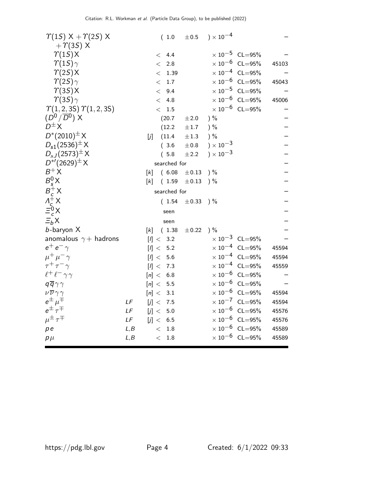| $\Upsilon(1S)$ X + $\Upsilon(2S)$ X     |             |       | (1.0)            | $\pm 0.5$  | $) \times 10^{-4}$ |                                  |       |
|-----------------------------------------|-------------|-------|------------------|------------|--------------------|----------------------------------|-------|
| $+ \gamma(35)$ X                        |             |       |                  |            |                    |                                  |       |
| $\Upsilon(1S)X$                         |             |       | < 4.4            |            |                    | $\times$ 10 <sup>-5</sup> CL=95% |       |
| $\gamma(15)\gamma$                      |             |       | < 2.8            |            |                    | $\times 10^{-6}$ CL=95%          | 45103 |
| $\Upsilon(2S)X$                         |             |       | < 1.39           |            |                    | $\times 10^{-4}$ CL=95%          |       |
| $\gamma(2S)\gamma$                      |             |       | < 1.7            |            |                    | $\times$ 10 <sup>-6</sup> CL=95% | 45043 |
| $\Upsilon(35)X$                         |             |       | 9.4<br>$\lt$     |            |                    | $\times$ 10 <sup>-5</sup> CL=95% |       |
| $\gamma(35)\gamma$                      |             |       | 4.8<br>$\lt$     |            |                    | $\times$ $10^{-6}$ $\,$ CL=95%   | 45006 |
| $\Upsilon(1, 2, 3S) \Upsilon(1, 2, 3S)$ |             |       | < 1.5            |            |                    | $\times 10^{-6}$ CL=95%          |       |
| $(D^0/\overline{D}{}^0)$ X              |             |       | (20.7)           | $\pm 2.0$  | $)$ %              |                                  |       |
| $D^{\pm}X$                              |             |       | (12.2)           | $\pm 1.7$  | $)$ %              |                                  |       |
| $D^*(2010)^{\pm} X$                     |             | [j    | (11.4)           | $\pm 1.3$  | ) %                |                                  |       |
| $D_{s1}(2536)^{\pm} X$                  |             |       | (3.6)            | $\pm 0.8$  | $) \times 10^{-3}$ |                                  |       |
| $D_{sJ}(2573)^{\pm} X$                  |             |       | (5.8)            | ±2.2       | $) \times 10^{-3}$ |                                  |       |
| $D^{*/}(2629)^{\pm} X$                  |             |       | searched for     |            |                    |                                  |       |
| $B^+X$                                  |             | [k]   | (6.08)           | $\pm 0.13$ | ) %                |                                  |       |
| $B_s^0$ X                               |             | [k]   | (1.59)           | $\pm 0.13$ | ) %                |                                  |       |
|                                         |             |       | searched for     |            |                    |                                  |       |
| $B_c^+ X$<br>$A_c^+ X$                  |             |       | (1.54)           | $\pm$ 0.33 | $)$ %              |                                  |       |
| $\bar{\Xi}_c^0$ X                       |             |       | seen             |            |                    |                                  |       |
| $E_bX$                                  |             |       | seen             |            |                    |                                  |       |
| $b$ -baryon $X$                         |             | [k]   | (1.38)           | $\pm 0.22$ | ) %                |                                  |       |
| anomalous $\gamma+$ hadrons             |             |       | [l] < 3.2        |            |                    | $\times$ 10 <sup>-3</sup> CL=95% |       |
| $e^+e^-\gamma$                          |             | [I] < | 5.2              |            |                    | $\times 10^{-4}$ CL=95%          | 45594 |
| $\mu^+ \mu^- \gamma$                    |             |       | [1] < 5.6        |            |                    | $\times$ 10 <sup>-4</sup> CL=95% | 45594 |
| $\tau^+ \tau^- \gamma$                  |             |       | [I] < 7.3        |            |                    | $\times$ 10 <sup>-4</sup> CL=95% | 45559 |
| $\ell^+\ell^-\gamma\gamma$              |             |       | [n] < 6.8        |            |                    | $\times 10^{-6}$ CL=95%          |       |
| $q\overline{q}\gamma\gamma$             |             |       | [n] < 5.5        |            |                    | $\times 10^{-6}$ CL=95%          |       |
| $\nu\overline{\nu}\gamma\gamma$         |             |       | [n] < 3.1        |            |                    | $\times$ 10 <sup>-6</sup> CL=95% | 45594 |
| $e^{\pm}$ $\mu^{\mp}$                   | LF          |       | [j] < 7.5        |            |                    | $\times 10^{-7}$ CL=95%          | 45594 |
| $e^{\pm} \tau^{\mp}$                    | LF          | [j] < | $5.0$            |            |                    | $\times$ 10 <sup>-6</sup> CL=95% | 45576 |
| $\mu^{\pm} \tau^{\mp}$                  | $L\digamma$ |       | [j] < 6.5        |            |                    | $\times$ 10 <sup>-6</sup> CL=95% | 45576 |
| p e                                     | L, B        |       | 1.8<br>$\lt$     |            |                    | $\times$ 10 <sup>-6</sup> CL=95% | 45589 |
| $p\mu$                                  | L, B        |       | $1.8\,$<br>$\lt$ |            |                    | $\times$ 10 <sup>-6</sup> CL=95% | 45589 |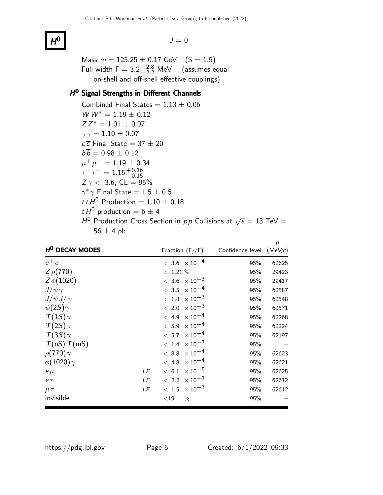## $H^0$

 $J = 0$ 

Mass  $m = 125.25 \pm 0.17$  GeV  $(S = 1.5)$ Full width  $\Gamma = 3.2^{+2.8}_{-2.2}$  MeV (assumes equal on-shell and off-shell effective couplings)

# H<sup>O</sup> Signal Strengths in Different Channels

Combined Final States =  $1.13 \pm 0.06$  $WW^* = 1.19 \pm 0.12$  $ZZ^* = 1.01 \pm 0.07$  $\gamma \gamma = 1.10 \pm 0.07$  $c\overline{c}$  Final State = 37  $\pm$  20  $b\overline{b} = 0.98 \pm 0.12$  $\mu^+ \mu^- = 1.19 \pm 0.34$  $\tau^+ \, \tau^- = 1.15^{+ \, 0.16}_{- \, 0.15}$  $Z \gamma < 3.6$ , CL = 95%  $\gamma^* \gamma$  Final State  $= 1.5 \pm 0.5$  $t\bar{t}H^0$  Production = 1.10  $\pm$  0.18 t  $H^0$  production = 6  $\pm$  4  $H^0$  Production Cross Section in pp Collisions at  $\sqrt{s} = 13$  TeV =  $56 \pm 4$  pb

| H <sup>O</sup> DECAY MODES      |    |             | Fraction $(\Gamma_i/\Gamma)$      | Confidence level (MeV/c) | p     |
|---------------------------------|----|-------------|-----------------------------------|--------------------------|-------|
| $e^+e^-$                        |    |             | $< 3.6 \times 10^{-4}$            | 95%                      | 62625 |
| $Z\rho(770)$                    |    | $< 1.21 \%$ |                                   | 95%                      | 29423 |
|                                 |    |             |                                   |                          |       |
| $Z\phi(1020)$                   |    |             | $< 3.6 \times 10^{-3}$            | 95%                      | 29417 |
| $J/\psi\gamma$                  |    |             | $< 3.5 \times 10^{-4}$            | 95%                      | 62587 |
| $J/\psi J/\psi$                 |    |             | $<\,1.8\phantom{0}\times 10^{-3}$ | 95%                      | 62548 |
| $\psi(2S)\gamma$                |    |             | $< 2.0 \times 10^{-3}$            | 95%                      | 62571 |
| $\gamma(15)\gamma$              |    |             | $< 4.9 \times 10^{-4}$            | 95%                      | 62268 |
| $\gamma(2S)\gamma$              |    |             | $< 5.9 \times 10^{-4}$            | 95%                      | 62224 |
| $\gamma(35)\gamma$              |    |             | $< 5.7 \times 10^{-4}$            | 95%                      | 62197 |
| $\Upsilon$ (nS) $\Upsilon$ (mS) |    |             | $< 1.4 \times 10^{-3}$            | 95%                      |       |
| $\rho(770)\gamma$               |    |             | $< 8.8~\times 10^{-4}$            | 95%                      | 62623 |
| $\phi(1020)\gamma$              |    |             | $< 4.8 \times 10^{-4}$            | 95%                      | 62621 |
| $e\mu$                          | LF |             | $< 6.1 \times 10^{-5}$            | 95%                      | 62625 |
| $e\tau$                         | LF |             | $< 2.2 \times 10^{-3}$            | 95%                      | 62612 |
| $\mu\tau$                       | LF |             | $< 1.5 \times 10^{-3}$            | 95%                      | 62612 |
| invisible                       |    | ${<}19$     | $\%$                              | 95%                      |       |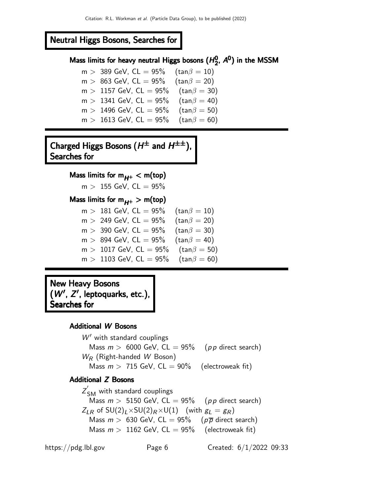# Neutral Higgs Bosons, Searches for

#### Mass limits for heavy neutral Higgs bosons  $(H_2^0)$ Mass limits for heavy neutral Higgs bosons  $(H_2^0, A^0)$ 0, A<sup>0</sup>) in the MSSM

 $m > 389$  GeV, CL = 95% (tan $\beta = 10$ )  $m > 863$  GeV, CL = 95% (tan $\beta = 20$ )  $m > 1157$  GeV,  $CL = 95\%$  (tan $\beta = 30$ )  $m > 1341$  GeV, CL = 95% (tan $\beta = 40$ )  $m > 1496$  GeV, CL = 95% (tan $\beta = 50$ )  $m > 1613$  GeV, CL = 95% (tan $\beta = 60$ )

Charged Higgs Bosons  $(H^{\pm}% (\mathbb{R}^{d}))$  and  $H^{\pm\pm}% (\mathbb{R}^{d})$  and  $H^{\pm\pm}% (\mathbb{R}^{d})$ Searches for

Mass limits for  $m_{H^+} < m$ (top)

 $m > 155$  GeV,  $CL = 95\%$ 

## Mass limits for  $m_{H+} > m$ (top)

| $m > 181$ GeV, $CL = 95\%$  | $(\tan\beta=10)$     |
|-----------------------------|----------------------|
| $m > 249$ GeV, $CL = 95\%$  | $(\tan\beta = 20)$   |
| $m > 390$ GeV, $CL = 95\%$  | $(tan\beta = 30)$    |
| $m > 894$ GeV, CL = 95%     | $(\tan\!\beta = 40)$ |
| $m > 1017$ GeV, CL = 95%    | $(tan\beta = 50)$    |
| $m > 1103$ GeV, $CL = 95\%$ | $(tan\beta = 60)$    |

New Heavy Bosons  $(W', Z',$  leptoquarks, etc.), Searches for

### Additional W Bosons

 $W'$  with standard couplings Mass  $m > 6000$  GeV,  $CL = 95\%$  (pp direct search)  $W_R$  (Right-handed W Boson) Mass  $m > 715$  GeV,  $CL = 90\%$  (electroweak fit)

## Additional Z Bosons

 $Z^{'}_{\mathsf{SM}}$  with standard couplings Mass  $m > 5150$  GeV,  $CL = 95\%$  (pp direct search)  $Z_{LR}$  of SU(2)<sub>L</sub>×SU(2)<sub>R</sub>×U(1) (with  $g_L = g_R$ )<br>Mass  $m > 630$  GeV, CL = 95% ( $p\overline{p}$  direct search) Mass  $m > 630$  GeV, CL = 95% Mass  $m > 1162$  GeV,  $CL = 95\%$  (electroweak fit)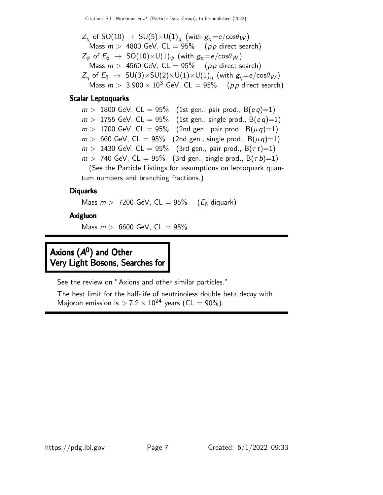$Z_{\chi}$  of SO(10)  $\rightarrow$  SU(5) $\times$ U(1)<sub> $\chi$ </sub> (with  $g_{\chi}$ =e/cos $\theta_{W}$ ) Mass  $m > 4800$  GeV, CL = 95% (pp direct search)  $Z_{\psi}$  of  $E_6 \rightarrow SO(10) \times U(1)_{\psi}$  (with  $g_{\psi} = e / cos \theta_W$ ) Mass  $m > 4560$  GeV,  $CL = 95\%$  (pp direct search)  $Z_n$  of  $E_6 \rightarrow SU(3) \times SU(2) \times U(1) \times U(1)_n$  (with  $g_n=e/\cos\theta_W$ ) Mass  $m > 3.900 \times 10^3$  GeV, CL = 95% (pp direct search)

### Scalar Leptoquarks

 $m > 1800$  GeV, CL = 95% (1st gen., pair prod., B(eq)=1)  $m > 1755$  GeV, CL = 95% (1st gen., single prod., B(eq)=1)  $m > 1700$  GeV, CL = 95% (2nd gen., pair prod., B $(\mu q) = 1$ )  $m > 660$  GeV, CL = 95% (2nd gen., single prod., B $(\mu q) = 1$ )  $m > 1430$  GeV, CL = 95% (3rd gen., pair prod., B $(\tau t) = 1$ )  $m > 740$  GeV, CL = 95% (3rd gen., single prod., B( $\tau b$ )=1) (See the Particle Listings for assumptions on leptoquark quan-

tum numbers and branching fractions.)

### **Diquarks**

Mass  $m > 7200$  GeV, CL = 95% ( $E_6$  diquark)

## Axigluon

Mass  $m > 6600$  GeV,  $CL = 95\%$ 

# Axions (A<sup>0</sup>) and Other Very Light Bosons, Searches for

See the review on "Axions and other similar particles."

The best limit for the half-life of neutrinoless double beta decay with Majoron emission is  $> 7.2 \times 10^{24}$  years (CL = 90%).